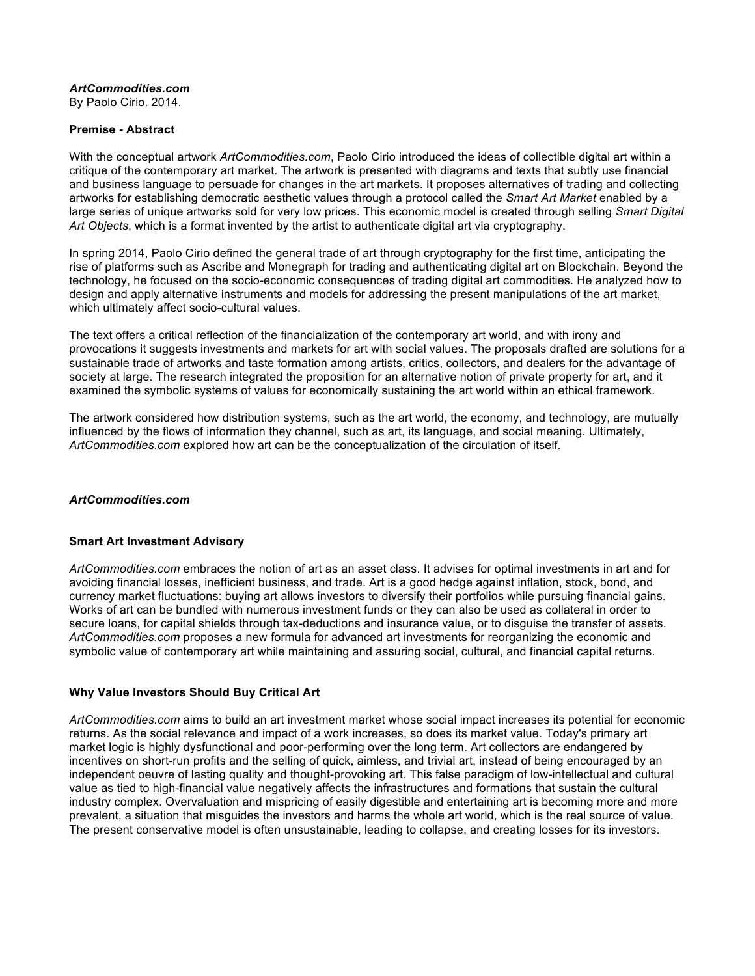## *ArtCommodities.com*

By Paolo Cirio. 2014.

### **Premise - Abstract**

With the conceptual artwork *ArtCommodities.com*, Paolo Cirio introduced the ideas of collectible digital art within a critique of the contemporary art market. The artwork is presented with diagrams and texts that subtly use financial and business language to persuade for changes in the art markets. It proposes alternatives of trading and collecting artworks for establishing democratic aesthetic values through a protocol called the *Smart Art Market* enabled by a large series of unique artworks sold for very low prices. This economic model is created through selling *Smart Digital Art Objects*, which is a format invented by the artist to authenticate digital art via cryptography.

In spring 2014, Paolo Cirio defined the general trade of art through cryptography for the first time, anticipating the rise of platforms such as Ascribe and Monegraph for trading and authenticating digital art on Blockchain. Beyond the technology, he focused on the socio-economic consequences of trading digital art commodities. He analyzed how to design and apply alternative instruments and models for addressing the present manipulations of the art market, which ultimately affect socio-cultural values.

The text offers a critical reflection of the financialization of the contemporary art world, and with irony and provocations it suggests investments and markets for art with social values. The proposals drafted are solutions for a sustainable trade of artworks and taste formation among artists, critics, collectors, and dealers for the advantage of society at large. The research integrated the proposition for an alternative notion of private property for art, and it examined the symbolic systems of values for economically sustaining the art world within an ethical framework.

The artwork considered how distribution systems, such as the art world, the economy, and technology, are mutually influenced by the flows of information they channel, such as art, its language, and social meaning. Ultimately, *ArtCommodities.com* explored how art can be the conceptualization of the circulation of itself.

### *ArtCommodities.com*

#### **Smart Art Investment Advisory**

*ArtCommodities.com* embraces the notion of art as an asset class. It advises for optimal investments in art and for avoiding financial losses, inefficient business, and trade. Art is a good hedge against inflation, stock, bond, and currency market fluctuations: buying art allows investors to diversify their portfolios while pursuing financial gains. Works of art can be bundled with numerous investment funds or they can also be used as collateral in order to secure loans, for capital shields through tax-deductions and insurance value, or to disguise the transfer of assets. *ArtCommodities.com* proposes a new formula for advanced art investments for reorganizing the economic and symbolic value of contemporary art while maintaining and assuring social, cultural, and financial capital returns.

## **Why Value Investors Should Buy Critical Art**

*ArtCommodities.com* aims to build an art investment market whose social impact increases its potential for economic returns. As the social relevance and impact of a work increases, so does its market value. Today's primary art market logic is highly dysfunctional and poor-performing over the long term. Art collectors are endangered by incentives on short-run profits and the selling of quick, aimless, and trivial art, instead of being encouraged by an independent oeuvre of lasting quality and thought-provoking art. This false paradigm of low-intellectual and cultural value as tied to high-financial value negatively affects the infrastructures and formations that sustain the cultural industry complex. Overvaluation and mispricing of easily digestible and entertaining art is becoming more and more prevalent, a situation that misguides the investors and harms the whole art world, which is the real source of value. The present conservative model is often unsustainable, leading to collapse, and creating losses for its investors.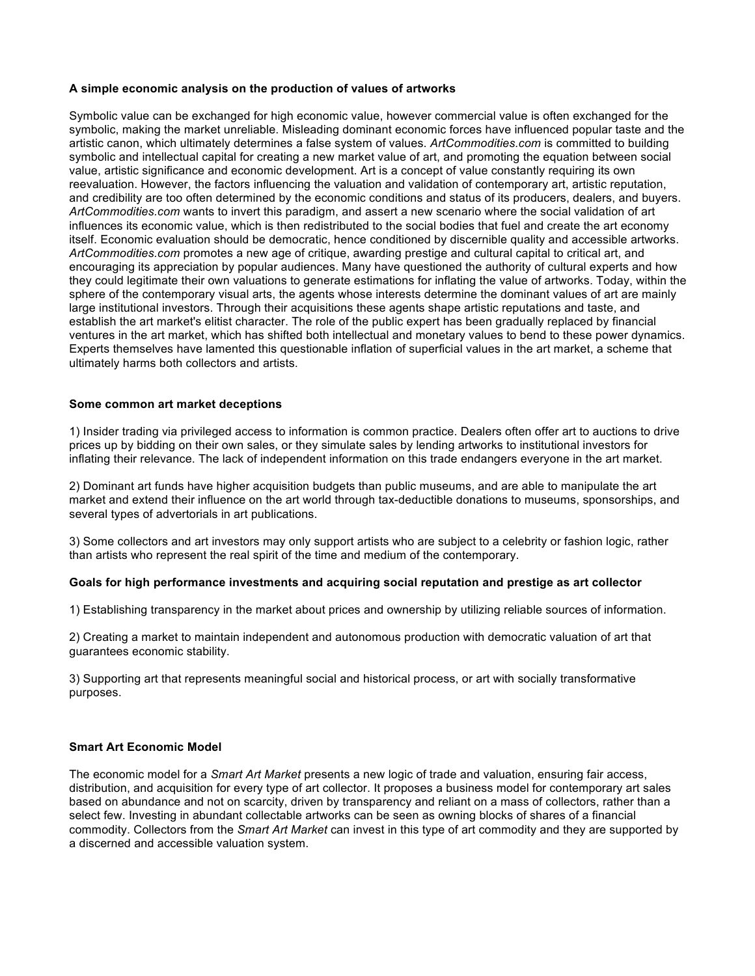### **A simple economic analysis on the production of values of artworks**

Symbolic value can be exchanged for high economic value, however commercial value is often exchanged for the symbolic, making the market unreliable. Misleading dominant economic forces have influenced popular taste and the artistic canon, which ultimately determines a false system of values. *ArtCommodities.com* is committed to building symbolic and intellectual capital for creating a new market value of art, and promoting the equation between social value, artistic significance and economic development. Art is a concept of value constantly requiring its own reevaluation. However, the factors influencing the valuation and validation of contemporary art, artistic reputation, and credibility are too often determined by the economic conditions and status of its producers, dealers, and buyers. *ArtCommodities.com* wants to invert this paradigm, and assert a new scenario where the social validation of art influences its economic value, which is then redistributed to the social bodies that fuel and create the art economy itself. Economic evaluation should be democratic, hence conditioned by discernible quality and accessible artworks. *ArtCommodities.com* promotes a new age of critique, awarding prestige and cultural capital to critical art, and encouraging its appreciation by popular audiences. Many have questioned the authority of cultural experts and how they could legitimate their own valuations to generate estimations for inflating the value of artworks. Today, within the sphere of the contemporary visual arts, the agents whose interests determine the dominant values of art are mainly large institutional investors. Through their acquisitions these agents shape artistic reputations and taste, and establish the art market's elitist character. The role of the public expert has been gradually replaced by financial ventures in the art market, which has shifted both intellectual and monetary values to bend to these power dynamics. Experts themselves have lamented this questionable inflation of superficial values in the art market, a scheme that ultimately harms both collectors and artists.

#### **Some common art market deceptions**

1) Insider trading via privileged access to information is common practice. Dealers often offer art to auctions to drive prices up by bidding on their own sales, or they simulate sales by lending artworks to institutional investors for inflating their relevance. The lack of independent information on this trade endangers everyone in the art market.

2) Dominant art funds have higher acquisition budgets than public museums, and are able to manipulate the art market and extend their influence on the art world through tax-deductible donations to museums, sponsorships, and several types of advertorials in art publications.

3) Some collectors and art investors may only support artists who are subject to a celebrity or fashion logic, rather than artists who represent the real spirit of the time and medium of the contemporary.

## **Goals for high performance investments and acquiring social reputation and prestige as art collector**

1) Establishing transparency in the market about prices and ownership by utilizing reliable sources of information.

2) Creating a market to maintain independent and autonomous production with democratic valuation of art that guarantees economic stability.

3) Supporting art that represents meaningful social and historical process, or art with socially transformative purposes.

### **Smart Art Economic Model**

The economic model for a *Smart Art Market* presents a new logic of trade and valuation, ensuring fair access, distribution, and acquisition for every type of art collector. It proposes a business model for contemporary art sales based on abundance and not on scarcity, driven by transparency and reliant on a mass of collectors, rather than a select few. Investing in abundant collectable artworks can be seen as owning blocks of shares of a financial commodity. Collectors from the *Smart Art Market* can invest in this type of art commodity and they are supported by a discerned and accessible valuation system.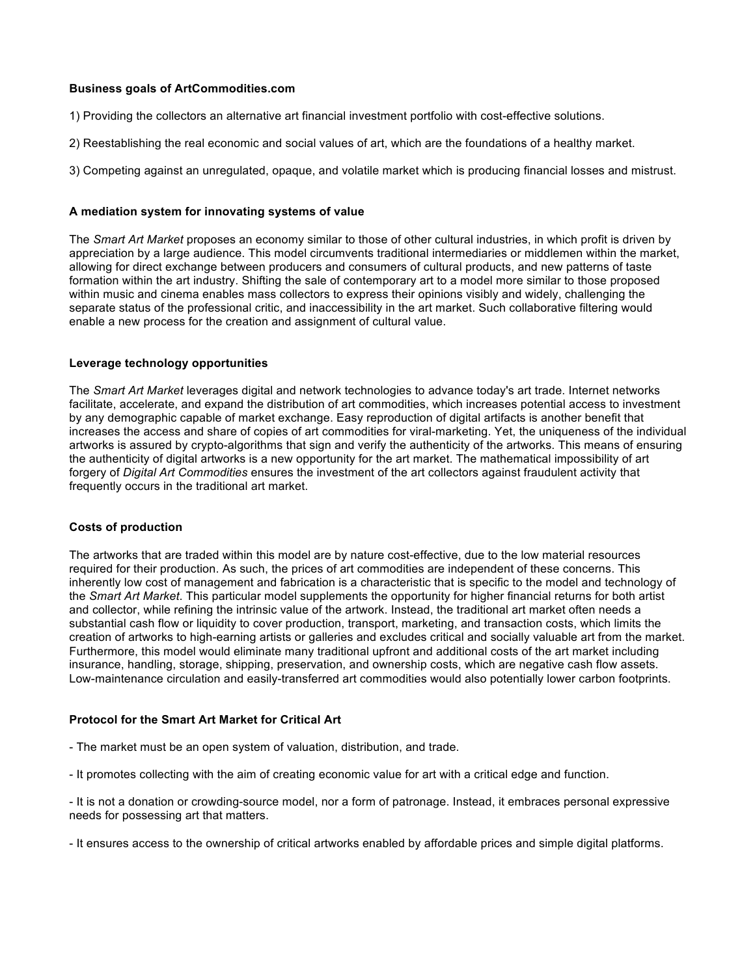## **Business goals of ArtCommodities.com**

1) Providing the collectors an alternative art financial investment portfolio with cost-effective solutions.

2) Reestablishing the real economic and social values of art, which are the foundations of a healthy market.

3) Competing against an unregulated, opaque, and volatile market which is producing financial losses and mistrust.

## **A mediation system for innovating systems of value**

The *Smart Art Market* proposes an economy similar to those of other cultural industries, in which profit is driven by appreciation by a large audience. This model circumvents traditional intermediaries or middlemen within the market, allowing for direct exchange between producers and consumers of cultural products, and new patterns of taste formation within the art industry. Shifting the sale of contemporary art to a model more similar to those proposed within music and cinema enables mass collectors to express their opinions visibly and widely, challenging the separate status of the professional critic, and inaccessibility in the art market. Such collaborative filtering would enable a new process for the creation and assignment of cultural value.

## **Leverage technology opportunities**

The *Smart Art Market* leverages digital and network technologies to advance today's art trade. Internet networks facilitate, accelerate, and expand the distribution of art commodities, which increases potential access to investment by any demographic capable of market exchange. Easy reproduction of digital artifacts is another benefit that increases the access and share of copies of art commodities for viral-marketing. Yet, the uniqueness of the individual artworks is assured by crypto-algorithms that sign and verify the authenticity of the artworks. This means of ensuring the authenticity of digital artworks is a new opportunity for the art market. The mathematical impossibility of art forgery of *Digital Art Commodities* ensures the investment of the art collectors against fraudulent activity that frequently occurs in the traditional art market.

#### **Costs of production**

The artworks that are traded within this model are by nature cost-effective, due to the low material resources required for their production. As such, the prices of art commodities are independent of these concerns. This inherently low cost of management and fabrication is a characteristic that is specific to the model and technology of the *Smart Art Market*. This particular model supplements the opportunity for higher financial returns for both artist and collector, while refining the intrinsic value of the artwork. Instead, the traditional art market often needs a substantial cash flow or liquidity to cover production, transport, marketing, and transaction costs, which limits the creation of artworks to high-earning artists or galleries and excludes critical and socially valuable art from the market. Furthermore, this model would eliminate many traditional upfront and additional costs of the art market including insurance, handling, storage, shipping, preservation, and ownership costs, which are negative cash flow assets. Low-maintenance circulation and easily-transferred art commodities would also potentially lower carbon footprints.

## **Protocol for the Smart Art Market for Critical Art**

- The market must be an open system of valuation, distribution, and trade.
- It promotes collecting with the aim of creating economic value for art with a critical edge and function.
- It is not a donation or crowding-source model, nor a form of patronage. Instead, it embraces personal expressive needs for possessing art that matters.
- It ensures access to the ownership of critical artworks enabled by affordable prices and simple digital platforms.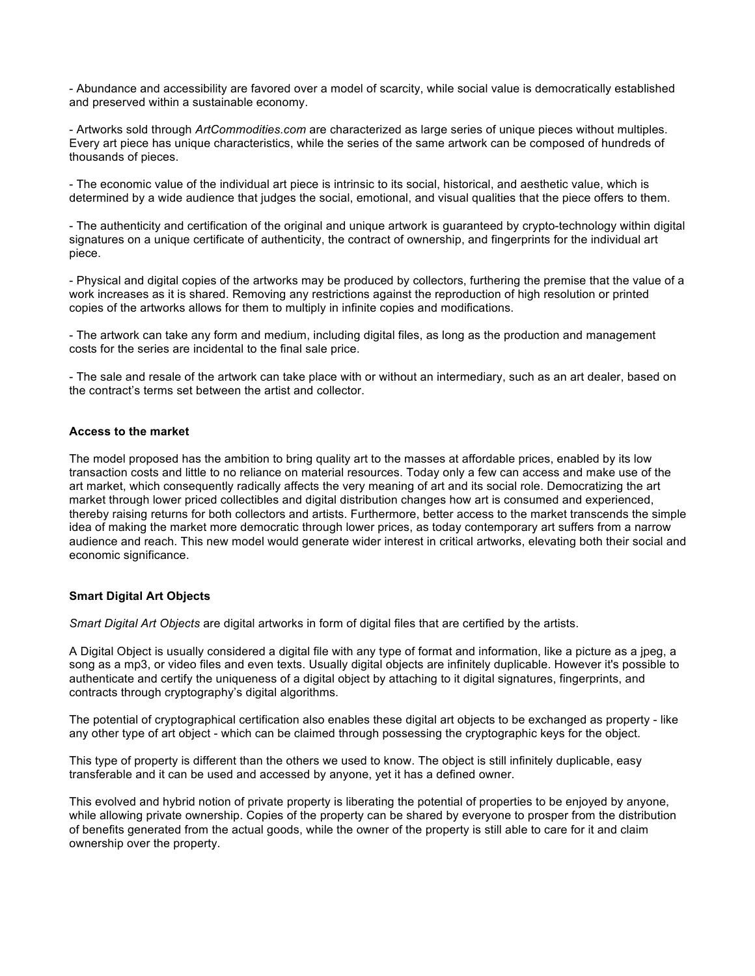- Abundance and accessibility are favored over a model of scarcity, while social value is democratically established and preserved within a sustainable economy.

- Artworks sold through *ArtCommodities.com* are characterized as large series of unique pieces without multiples. Every art piece has unique characteristics, while the series of the same artwork can be composed of hundreds of thousands of pieces.

- The economic value of the individual art piece is intrinsic to its social, historical, and aesthetic value, which is determined by a wide audience that judges the social, emotional, and visual qualities that the piece offers to them.

- The authenticity and certification of the original and unique artwork is guaranteed by crypto-technology within digital signatures on a unique certificate of authenticity, the contract of ownership, and fingerprints for the individual art piece.

- Physical and digital copies of the artworks may be produced by collectors, furthering the premise that the value of a work increases as it is shared. Removing any restrictions against the reproduction of high resolution or printed copies of the artworks allows for them to multiply in infinite copies and modifications.

- The artwork can take any form and medium, including digital files, as long as the production and management costs for the series are incidental to the final sale price.

- The sale and resale of the artwork can take place with or without an intermediary, such as an art dealer, based on the contract's terms set between the artist and collector.

#### **Access to the market**

The model proposed has the ambition to bring quality art to the masses at affordable prices, enabled by its low transaction costs and little to no reliance on material resources. Today only a few can access and make use of the art market, which consequently radically affects the very meaning of art and its social role. Democratizing the art market through lower priced collectibles and digital distribution changes how art is consumed and experienced, thereby raising returns for both collectors and artists. Furthermore, better access to the market transcends the simple idea of making the market more democratic through lower prices, as today contemporary art suffers from a narrow audience and reach. This new model would generate wider interest in critical artworks, elevating both their social and economic significance.

### **Smart Digital Art Objects**

*Smart Digital Art Objects* are digital artworks in form of digital files that are certified by the artists.

A Digital Object is usually considered a digital file with any type of format and information, like a picture as a jpeg, a song as a mp3, or video files and even texts. Usually digital objects are infinitely duplicable. However it's possible to authenticate and certify the uniqueness of a digital object by attaching to it digital signatures, fingerprints, and contracts through cryptography's digital algorithms.

The potential of cryptographical certification also enables these digital art objects to be exchanged as property - like any other type of art object - which can be claimed through possessing the cryptographic keys for the object.

This type of property is different than the others we used to know. The object is still infinitely duplicable, easy transferable and it can be used and accessed by anyone, yet it has a defined owner.

This evolved and hybrid notion of private property is liberating the potential of properties to be enjoyed by anyone, while allowing private ownership. Copies of the property can be shared by everyone to prosper from the distribution of benefits generated from the actual goods, while the owner of the property is still able to care for it and claim ownership over the property.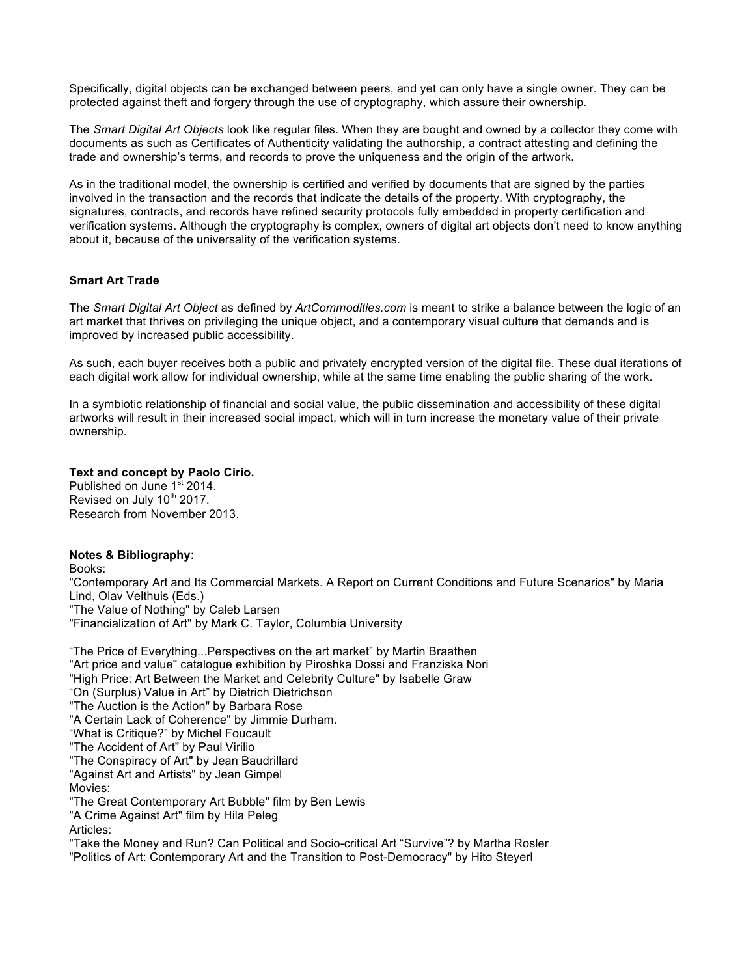Specifically, digital objects can be exchanged between peers, and yet can only have a single owner. They can be protected against theft and forgery through the use of cryptography, which assure their ownership.

The *Smart Digital Art Objects* look like regular files. When they are bought and owned by a collector they come with documents as such as Certificates of Authenticity validating the authorship, a contract attesting and defining the trade and ownership's terms, and records to prove the uniqueness and the origin of the artwork.

As in the traditional model, the ownership is certified and verified by documents that are signed by the parties involved in the transaction and the records that indicate the details of the property. With cryptography, the signatures, contracts, and records have refined security protocols fully embedded in property certification and verification systems. Although the cryptography is complex, owners of digital art objects don't need to know anything about it, because of the universality of the verification systems.

### **Smart Art Trade**

The *Smart Digital Art Object* as defined by *ArtCommodities.com* is meant to strike a balance between the logic of an art market that thrives on privileging the unique object, and a contemporary visual culture that demands and is improved by increased public accessibility.

As such, each buyer receives both a public and privately encrypted version of the digital file. These dual iterations of each digital work allow for individual ownership, while at the same time enabling the public sharing of the work.

In a symbiotic relationship of financial and social value, the public dissemination and accessibility of these digital artworks will result in their increased social impact, which will in turn increase the monetary value of their private ownership.

#### **Text and concept by Paolo Cirio.**

Published on June 1<sup>st</sup> 2014. Revised on July 10<sup>th</sup> 2017. Research from November 2013.

### **Notes & Bibliography:**

Books:

"Contemporary Art and Its Commercial Markets. A Report on Current Conditions and Future Scenarios" by Maria Lind, Olav Velthuis (Eds.) "The Value of Nothing" by Caleb Larsen "Financialization of Art" by Mark C. Taylor, Columbia University

"The Price of Everything...Perspectives on the art market" by Martin Braathen "Art price and value" catalogue exhibition by Piroshka Dossi and Franziska Nori "High Price: Art Between the Market and Celebrity Culture" by Isabelle Graw "On (Surplus) Value in Art" by Dietrich Dietrichson "The Auction is the Action" by Barbara Rose "A Certain Lack of Coherence" by Jimmie Durham. "What is Critique?" by Michel Foucault "The Accident of Art" by Paul Virilio "The Conspiracy of Art" by Jean Baudrillard "Against Art and Artists" by Jean Gimpel Movies: "The Great Contemporary Art Bubble" film by Ben Lewis "A Crime Against Art" film by Hila Peleg Articles: "Take the Money and Run? Can Political and Socio-critical Art "Survive"? by Martha Rosler "Politics of Art: Contemporary Art and the Transition to Post-Democracy" by Hito Steyerl